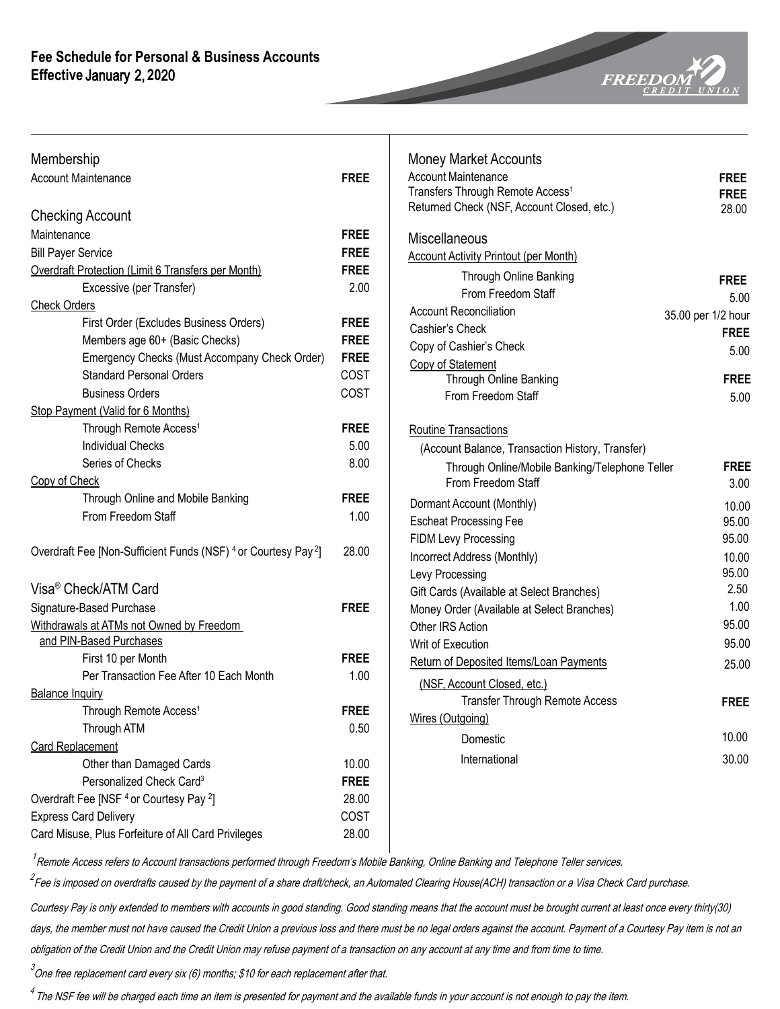

| Membership                                                                            |             | <b>Money Market Accounts</b>                     |                    |
|---------------------------------------------------------------------------------------|-------------|--------------------------------------------------|--------------------|
| <b>Account Maintenance</b>                                                            | <b>FREE</b> | <b>Account Maintenance</b>                       | <b>FREE</b>        |
|                                                                                       |             | Transfers Through Remote Access <sup>1</sup>     | <b>FREE</b>        |
| <b>Checking Account</b>                                                               |             | Returned Check (NSF, Account Closed, etc.)       | 28.00              |
| Maintenance                                                                           | <b>FREE</b> | Miscellaneous                                    |                    |
| <b>Bill Payer Service</b>                                                             | <b>FREE</b> | <b>Account Activity Printout (per Month)</b>     |                    |
| Overdraft Protection (Limit 6 Transfers per Month)                                    | <b>FREE</b> | Through Online Banking                           |                    |
| Excessive (per Transfer)                                                              | 2.00        | From Freedom Staff                               | <b>FREE</b>        |
| <b>Check Orders</b>                                                                   |             | <b>Account Reconciliation</b>                    | 5.00               |
| First Order (Excludes Business Orders)                                                | <b>FREE</b> | Cashier's Check                                  | 35.00 per 1/2 hour |
| Members age 60+ (Basic Checks)                                                        | <b>FREE</b> | Copy of Cashier's Check                          | <b>FREE</b>        |
| Emergency Checks (Must Accompany Check Order)                                         | <b>FREE</b> | Copy of Statement                                | 5.00               |
| <b>Standard Personal Orders</b>                                                       | COST        | Through Online Banking                           | <b>FREE</b>        |
| <b>Business Orders</b>                                                                | COST        | From Freedom Staff                               | 5.00               |
| Stop Payment (Valid for 6 Months)                                                     |             |                                                  |                    |
| Through Remote Access <sup>1</sup>                                                    | <b>FREE</b> | Routine Transactions                             |                    |
| <b>Individual Checks</b>                                                              | 5.00        | (Account Balance, Transaction History, Transfer) |                    |
| Series of Checks                                                                      | 8.00        | Through Online/Mobile Banking/Telephone Teller   | <b>FREE</b>        |
| Copy of Check                                                                         |             | From Freedom Staff                               | 3.00               |
| Through Online and Mobile Banking                                                     | <b>FREE</b> | Dormant Account (Monthly)                        | 10.00              |
| From Freedom Staff                                                                    | 1.00        | <b>Escheat Processing Fee</b>                    | 95.00              |
|                                                                                       |             | FIDM Levy Processing                             | 95.00              |
| Overdraft Fee [Non-Sufficient Funds (NSF) <sup>4</sup> or Courtesy Pay <sup>2</sup> ] | 28.00       | Incorrect Address (Monthly)                      | 10.00              |
|                                                                                       |             | Levy Processing                                  | 95.00              |
| Visa <sup>®</sup> Check/ATM Card                                                      |             | Gift Cards (Available at Select Branches)        | 2.50               |
| Signature-Based Purchase                                                              | <b>FREE</b> | Money Order (Available at Select Branches)       | 1.00               |
| Withdrawals at ATMs not Owned by Freedom                                              |             | Other IRS Action                                 | 95.00              |
| and PIN-Based Purchases                                                               |             | Writ of Execution                                | 95.00              |
| First 10 per Month                                                                    | <b>FREE</b> | Return of Deposited Items/Loan Payments          | 25.00              |
| Per Transaction Fee After 10 Each Month                                               | 1.00        | (NSF, Account Closed, etc.)                      |                    |
| <b>Balance Inquiry</b>                                                                |             | Transfer Through Remote Access                   | <b>FREE</b>        |
| Through Remote Access <sup>1</sup>                                                    | <b>FREE</b> | Wires (Outgoing)                                 |                    |
| Through ATM                                                                           | 0.50        | Domestic                                         | 10.00              |
| <b>Card Replacement</b>                                                               |             |                                                  |                    |
| Other than Damaged Cards                                                              | 10.00       | International                                    | 30.00              |
| Personalized Check Card <sup>3</sup>                                                  | <b>FREE</b> |                                                  |                    |
| Overdraft Fee [NSF <sup>4</sup> or Courtesy Pay <sup>2</sup> ]                        | 28.00       |                                                  |                    |
| <b>Express Card Delivery</b>                                                          | COST        |                                                  |                    |
| Card Misuse, Plus Forfeiture of All Card Privileges                                   | 28.00       |                                                  |                    |
|                                                                                       |             |                                                  |                    |

 $^{\prime}$ Remote Access refers to Account transactions performed through Freedom's Mobile Banking, Online Banking and Telephone Teller services.

<sup>2</sup> Fee is imposed on overdrafts caused by the payment of a share draft/check, an Automated Clearing House(ACH) transaction or a Visa Check Card purchase.

Courtesy Pay is only extended to members with accounts in good standing. Good standing means that the account must be brought current at least once every thirty(30) days, the member must not have caused the Credit Union a previous loss and there must be no legal orders against the account. Payment of a Courtesy Pay item is not an obligation of the Credit Union and the Credit Union may refuse payment of a transaction on any account at any time and from time to time.

 $^3$ One free replacement card every six (6) months; \$10 for each replacement after that.

 $^4$  The NSF fee will be charged each time an item is presented for payment and the available funds in your account is not enough to pay the item.